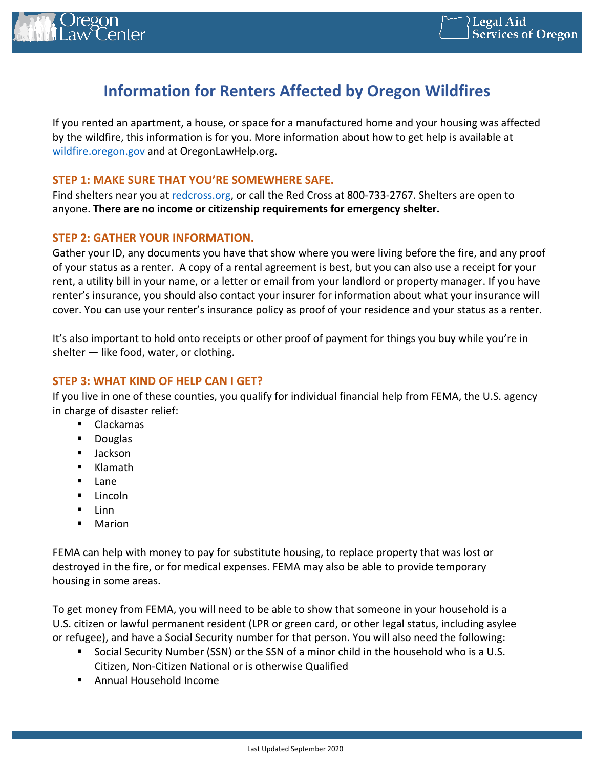

# **Information for Renters Affected by Oregon Wildfires**

If you rented an apartment, a house, or space for a manufactured home and your housing was affected by the wildfire, this information is for you. More information about how to get help is available at wildfire.oregon.gov and at OregonLawHelp.org.

### **STEP 1: MAKE SURE THAT YOU'RE SOMEWHERE SAFE.**

Find shelters near you at redcross.org, or call the Red Cross at 800-733-2767. Shelters are open to anyone. There are no income or citizenship requirements for emergency shelter.

## **STEP 2: GATHER YOUR INFORMATION.**

Gather your ID, any documents you have that show where you were living before the fire, and any proof of your status as a renter. A copy of a rental agreement is best, but you can also use a receipt for your rent, a utility bill in your name, or a letter or email from your landlord or property manager. If you have renter's insurance, you should also contact your insurer for information about what your insurance will cover. You can use your renter's insurance policy as proof of your residence and your status as a renter.

It's also important to hold onto receipts or other proof of payment for things you buy while you're in shelter  $-$  like food, water, or clothing.

# **STEP 3: WHAT KIND OF HELP CAN I GET?**

If you live in one of these counties, you qualify for individual financial help from FEMA, the U.S. agency in charge of disaster relief:

- ! Clackamas
- ! Douglas
- **E** Jackson
- ! Klamath
- ! Lane
- **E** Lincoln
- $\blacksquare$  Linn
- ! Marion

FEMA can help with money to pay for substitute housing, to replace property that was lost or destroyed in the fire, or for medical expenses. FEMA may also be able to provide temporary housing in some areas.

To get money from FEMA, you will need to be able to show that someone in your household is a U.S. citizen or lawful permanent resident (LPR or green card, or other legal status, including asylee or refugee), and have a Social Security number for that person. You will also need the following:

- Social Security Number (SSN) or the SSN of a minor child in the household who is a U.S. Citizen, Non-Citizen National or is otherwise Qualified
- Annual Household Income